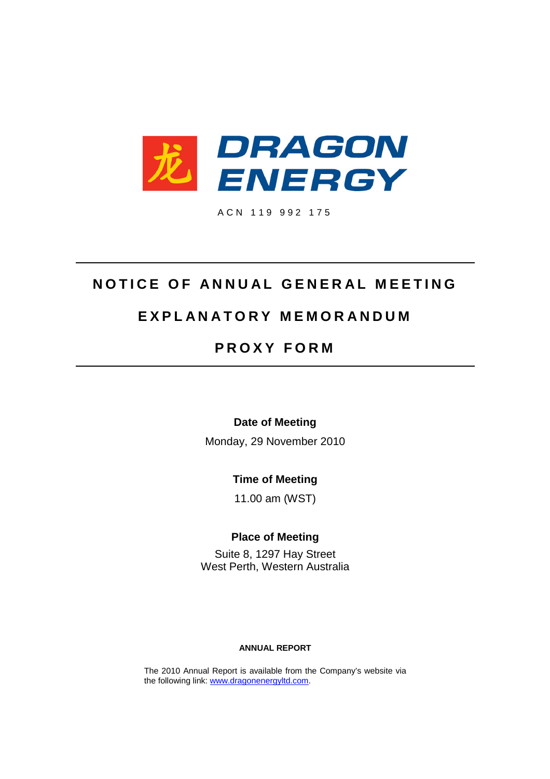

A C N 1 1 9 9 9 2 1 7 5

# **NOTICE OF ANNUAL GENERAL MEETING**

# **E X P L A N A T O R Y M E M O R A N D U M**

# **P R O X Y F O R M**

**Date of Meeting**

Monday, 29 November 2010

**Time of Meeting**

11.00 am (WST)

**Place of Meeting**

Suite 8, 1297 Hay Street West Perth, Western Australia

# **ANNUAL REPORT**

The 2010 Annual Report is available from the Company's website via the following link: www.dragonenergyltd.com.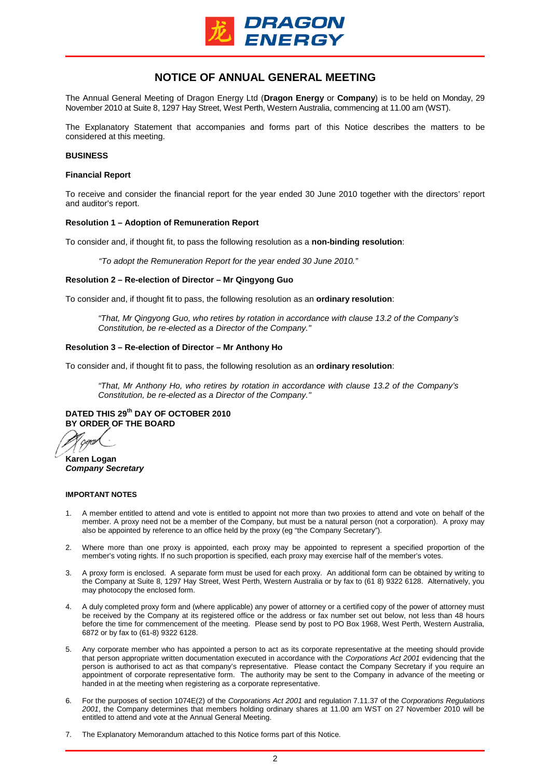

# **NOTICE OF ANNUAL GENERAL MEETING**

The Annual General Meeting of Dragon Energy Ltd (**Dragon Energy** or **Company**) is to be held on Monday, 29 November 2010 at Suite 8, 1297 Hay Street, West Perth, Western Australia, commencing at 11.00 am (WST).

The Explanatory Statement that accompanies and forms part of this Notice describes the matters to be considered at this meeting.

## **BUSINESS**

# **Financial Report**

To receive and consider the financial report for the year ended 30 June 2010 together with the directors' report and auditor's report.

### **Resolution 1 – Adoption of Remuneration Report**

To consider and, if thought fit, to pass the following resolution as a **non-binding resolution**:

*"To adopt the Remuneration Report for the year ended 30 June 2010."*

## **Resolution 2 – Re-election of Director – Mr Qingyong Guo**

To consider and, if thought fit to pass, the following resolution as an **ordinary resolution**:

*"That, Mr Qingyong Guo, who retires by rotation in accordance with clause 13.2 of the Company's Constitution, be re-elected as a Director of the Company."*

## **Resolution 3 – Re-election of Director – Mr Anthony Ho**

To consider and, if thought fit to pass, the following resolution as an **ordinary resolution**:

*"That, Mr Anthony Ho, who retires by rotation in accordance with clause 13.2 of the Company's Constitution, be re-elected as a Director of the Company."*

**DATED THIS 29th DAY OF OCTOBER 2010 BY ORDER OF THE BOARD**

**Karen Logan** *Company Secretary*

### **IMPORTANT NOTES**

- 1. A member entitled to attend and vote is entitled to appoint not more than two proxies to attend and vote on behalf of the member. A proxy need not be a member of the Company, but must be a natural person (not a corporation). A proxy may also be appointed by reference to an office held by the proxy (eg "the Company Secretary").
- Where more than one proxy is appointed, each proxy may be appointed to represent a specified proportion of the member's voting rights. If no such proportion is specified, each proxy may exercise half of the member's votes.
- 3. A proxy form is enclosed. A separate form must be used for each proxy. An additional form can be obtained by writing to the Company at Suite 8, 1297 Hay Street, West Perth, Western Australia or by fax to (61 8) 9322 6128. Alternatively, you may photocopy the enclosed form.
- 4. A duly completed proxy form and (where applicable) any power of attorney or a certified copy of the power of attorney must be received by the Company at its registered office or the address or fax number set out below, not less than 48 hours before the time for commencement of the meeting. Please send by post to PO Box 1968, West Perth, Western Australia, 6872 or by fax to (61-8) 9322 6128.
- 5. Any corporate member who has appointed a person to act as its corporate representative at the meeting should provide that person appropriate written documentation executed in accordance with the *Corporations Act 2001* evidencing that the person is authorised to act as that company's representative. Please contact the Company Secretary if you require an appointment of corporate representative form. The authority may be sent to the Company in advance of the meeting or handed in at the meeting when registering as a corporate representative.
- 6. For the purposes of section 1074E(2) of the *Corporations Act 2001* and regulation 7.11.37 of the *Corporations Regulations 2001*, the Company determines that members holding ordinary shares at 11.00 am WST on 27 November 2010 will be entitled to attend and vote at the Annual General Meeting.
- 7. The Explanatory Memorandum attached to this Notice forms part of this Notice.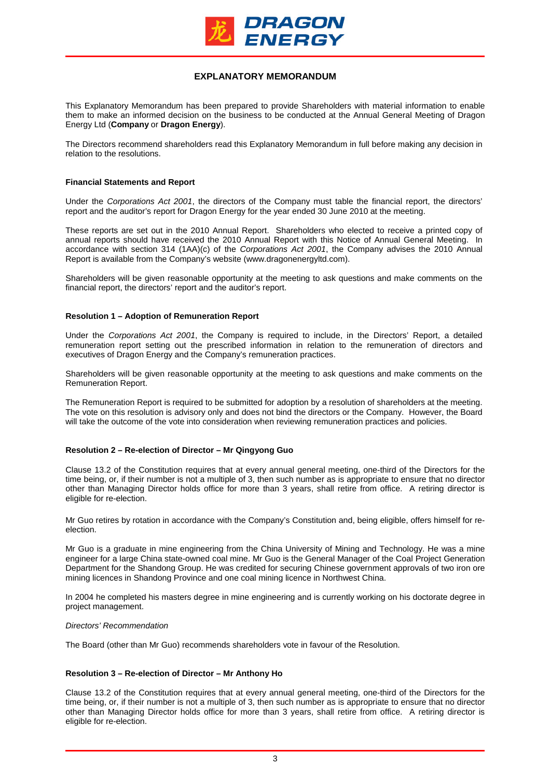

# **EXPLANATORY MEMORANDUM**

This Explanatory Memorandum has been prepared to provide Shareholders with material information to enable them to make an informed decision on the business to be conducted at the Annual General Meeting of Dragon Energy Ltd (**Company** or **Dragon Energy**).

The Directors recommend shareholders read this Explanatory Memorandum in full before making any decision in relation to the resolutions.

# **Financial Statements and Report**

Under the *Corporations Act 2001*, the directors of the Company must table the financial report, the directors' report and the auditor's report for Dragon Energy for the year ended 30 June 2010 at the meeting.

These reports are set out in the 2010 Annual Report. Shareholders who elected to receive a printed copy of annual reports should have received the 2010 Annual Report with this Notice of Annual General Meeting. In accordance with section 314 (1AA)(c) of the *Corporations Act 2001*, the Company advises the 2010 Annual Report is available from the Company's website (www.dragonenergyltd.com).

Shareholders will be given reasonable opportunity at the meeting to ask questions and make comments on the financial report, the directors' report and the auditor's report.

# **Resolution 1 – Adoption of Remuneration Report**

Under the *Corporations Act 2001*, the Company is required to include, in the Directors' Report, a detailed remuneration report setting out the prescribed information in relation to the remuneration of directors and executives of Dragon Energy and the Company's remuneration practices.

Shareholders will be given reasonable opportunity at the meeting to ask questions and make comments on the Remuneration Report.

The Remuneration Report is required to be submitted for adoption by a resolution of shareholders at the meeting. The vote on this resolution is advisory only and does not bind the directors or the Company. However, the Board will take the outcome of the vote into consideration when reviewing remuneration practices and policies.

# **Resolution 2 – Re-election of Director – Mr Qingyong Guo**

Clause 13.2 of the Constitution requires that at every annual general meeting, one-third of the Directors for the time being, or, if their number is not a multiple of 3, then such number as is appropriate to ensure that no director other than Managing Director holds office for more than 3 years, shall retire from office. A retiring director is eligible for re-election.

Mr Guo retires by rotation in accordance with the Company's Constitution and, being eligible, offers himself for reelection.

Mr Guo is a graduate in mine engineering from the China University of Mining and Technology. He was a mine engineer for a large China state-owned coal mine. Mr Guo is the General Manager of the Coal Project Generation Department for the Shandong Group. He was credited for securing Chinese government approvals of two iron ore mining licences in Shandong Province and one coal mining licence in Northwest China.

In 2004 he completed his masters degree in mine engineering and is currently working on his doctorate degree in project management.

## *Directors' Recommendation*

The Board (other than Mr Guo) recommends shareholders vote in favour of the Resolution.

## **Resolution 3 – Re-election of Director – Mr Anthony Ho**

Clause 13.2 of the Constitution requires that at every annual general meeting, one-third of the Directors for the time being, or, if their number is not a multiple of 3, then such number as is appropriate to ensure that no director other than Managing Director holds office for more than 3 years, shall retire from office. A retiring director is eligible for re-election.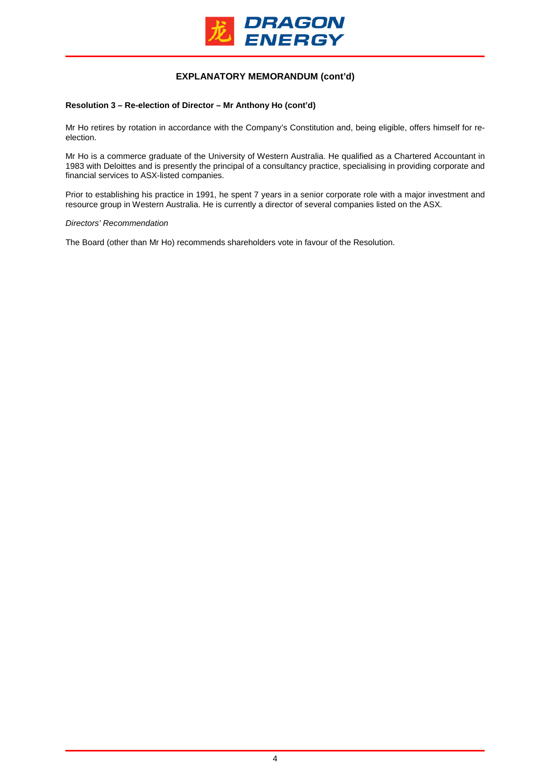

# **EXPLANATORY MEMORANDUM (cont'd)**

# **Resolution 3 – Re-election of Director – Mr Anthony Ho (cont'd)**

Mr Ho retires by rotation in accordance with the Company's Constitution and, being eligible, offers himself for reelection.

Mr Ho is a commerce graduate of the University of Western Australia. He qualified as a Chartered Accountant in 1983 with Deloittes and is presently the principal of a consultancy practice, specialising in providing corporate and financial services to ASX-listed companies.

Prior to establishing his practice in 1991, he spent 7 years in a senior corporate role with a major investment and resource group in Western Australia. He is currently a director of several companies listed on the ASX.

### *Directors' Recommendation*

The Board (other than Mr Ho) recommends shareholders vote in favour of the Resolution.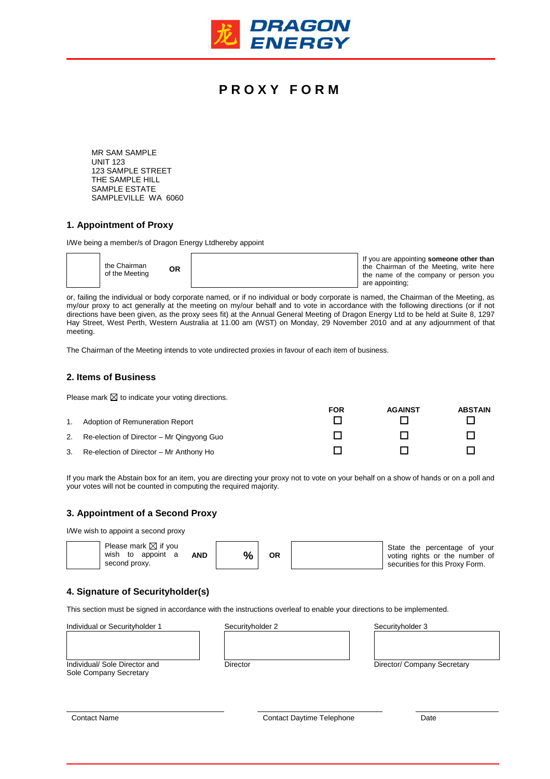

# **P R O X Y F O R M**

MR SAM SAMPLE UNIT 123 123 SAMPLE STREET THE SAMPLE HILL SAMPLE ESTATE SAMPLEVILLE WA 6060

# **1. Appointment of Proxy**

I/We being a member/s of Dragon Energy Ltdhereby appoint

| the Chairman<br>ΟR<br>of the Meeting | If you are appointing someone other than<br>the Chairman of the Meeting, write here<br>the name of the company or person you |
|--------------------------------------|------------------------------------------------------------------------------------------------------------------------------|
|                                      | are appointing;                                                                                                              |

or, failing the individual or body corporate named, or if no individual or body corporate is named, the Chairman of the Meeting, as my/our proxy to act generally at the meeting on my/our behalf and to vote in accordance with the following directions (or if not directions have been given, as the proxy sees fit) at the Annual General Meeting of Dragon Energy Ltd to be held at Suite 8, 1297 Hay Street, West Perth, Western Australia at 11.00 am (WST) on Monday, 29 November 2010 and at any adjournment of that meeting.

The Chairman of the Meeting intends to vote undirected proxies in favour of each item of business.

## **2. Items of Business**

Please mark  $\boxtimes$  to indicate your voting directions.

|    |                                           | <b>FOR</b> | <b>AGAINST</b> | <b>ABSTAIN</b> |
|----|-------------------------------------------|------------|----------------|----------------|
|    | Adoption of Remuneration Report           |            |                |                |
| 2. | Re-election of Director – Mr Qingyong Guo |            |                |                |
| 3. | Re-election of Director - Mr Anthony Ho   |            |                |                |

If you mark the Abstain box for an item, you are directing your proxy not to vote on your behalf on a show of hands or on a poll and your votes will not be counted in computing the required majority.

## **3. Appointment of a Second Proxy**

I/We wish to appoint a second proxy



# **4. Signature of Securityholder(s)**

This section must be signed in accordance with the instructions overleaf to enable your directions to be implemented.

| Individual or Securityholder 1 | Securityholder 2 | Securityholder 3            |
|--------------------------------|------------------|-----------------------------|
|                                |                  |                             |
|                                |                  |                             |
|                                |                  |                             |
| Individual/ Sole Director and  | Director         | Director/ Company Secretary |
| Sole Company Secretary         |                  |                             |
|                                |                  |                             |